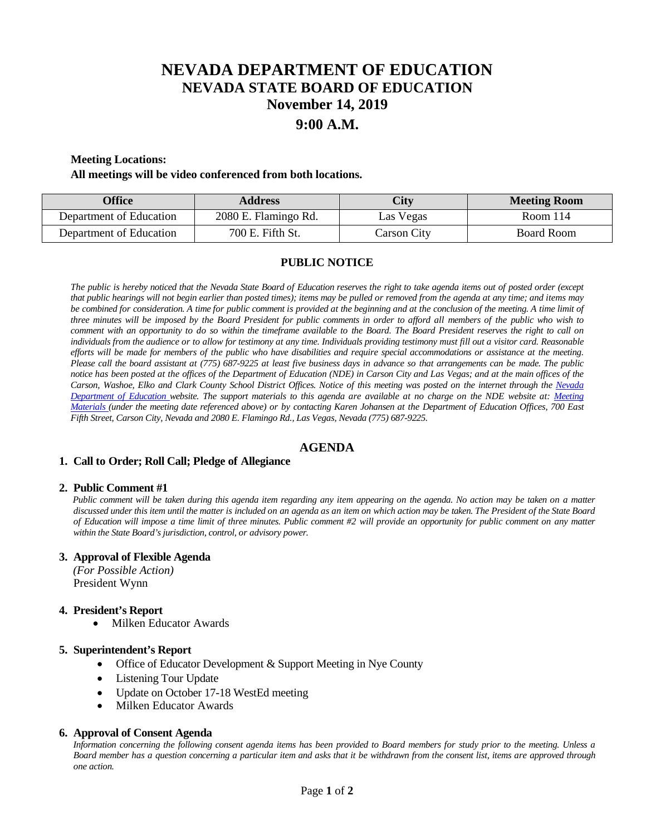# **NEVADA DEPARTMENT OF EDUCATION NEVADA STATE BOARD OF EDUCATION November 14, 2019 9:00 A.M.**

## **Meeting Locations:**

#### **All meetings will be video conferenced from both locations.**

| <b>Office</b>           | <b>Address</b>       | City        | <b>Meeting Room</b> |
|-------------------------|----------------------|-------------|---------------------|
| Department of Education | 2080 E. Flamingo Rd. | Las Vegas   | Room $114$          |
| Department of Education | 700 E. Fifth St.     | Carson City | Board Room          |

## **PUBLIC NOTICE**

*The public is hereby noticed that the Nevada State Board of Education reserves the right to take agenda items out of posted order (except that public hearings will not begin earlier than posted times); items may be pulled or removed from the agenda at any time; and items may* be combined for consideration. A time for public comment is provided at the beginning and at the conclusion of the meeting. A time limit of *three minutes will be imposed by the Board President for public comments in order to afford all members of the public who wish to comment with an opportunity to do so within the timeframe available to the Board. The Board President reserves the right to call on individuals from the audience or to allow for testimony at any time. Individuals providing testimony must fill out a visitor card. Reasonable efforts will be made for members of the public who have disabilities and require special accommodations or assistance at the meeting. Please call the board assistant at (775) 687-9225 at least five business days in advance so that arrangements can be made. The public notice has been posted at the offices of the Department of Education (NDE) in Carson City and Las Vegas; and at the main offices of the Carson, Washoe, Elko and Clark County School District Offices. Notice of this meeting was posted on the internet through the Nevada Department of Education website. The support materials to this agenda are available at no charge on the NDE website at: [Meeting](http://www.doe.nv.gov/Boards_Commissions_Councils/State_Board_of_Education/MeetingMaterials/)  [Materials](http://www.doe.nv.gov/Boards_Commissions_Councils/State_Board_of_Education/MeetingMaterials/) (under the meeting date referenced above) or by contacting Karen Johansen at the Department of Education Offices, 700 East Fifth Street, Carson City, Nevada and 2080 E. Flamingo Rd., Las Vegas, Nevada (775) 687-9225.*

# **AGENDA**

#### **1. Call to Order; Roll Call; Pledge of Allegiance**

#### **2. Public Comment #1**

 *Public comment will be taken during this agenda item regarding any item appearing on the agenda. No action may be taken on a matter discussed under this item until the matter is included on an agenda as an item on which action may be taken. The President of the State Board of Education will impose a time limit of three minutes. Public comment #2 will provide an opportunity for public comment on any matter within the State Board's jurisdiction, control, or advisory power.*

#### **3. Approval of Flexible Agenda**

*(For Possible Action)* President Wynn

#### **4. President's Report**

• Milken Educator Awards

#### **5. Superintendent's Report**

- Office of Educator Development & Support Meeting in Nye County
- **Listening Tour Update**
- Update on October 17-18 WestEd meeting
- Milken Educator Awards

#### **6. Approval of Consent Agenda**

 *Information concerning the following consent agenda items has been provided to Board members for study prior to the meeting. Unless a Board member has a question concerning a particular item and asks that it be withdrawn from the consent list, items are approved through one action.*